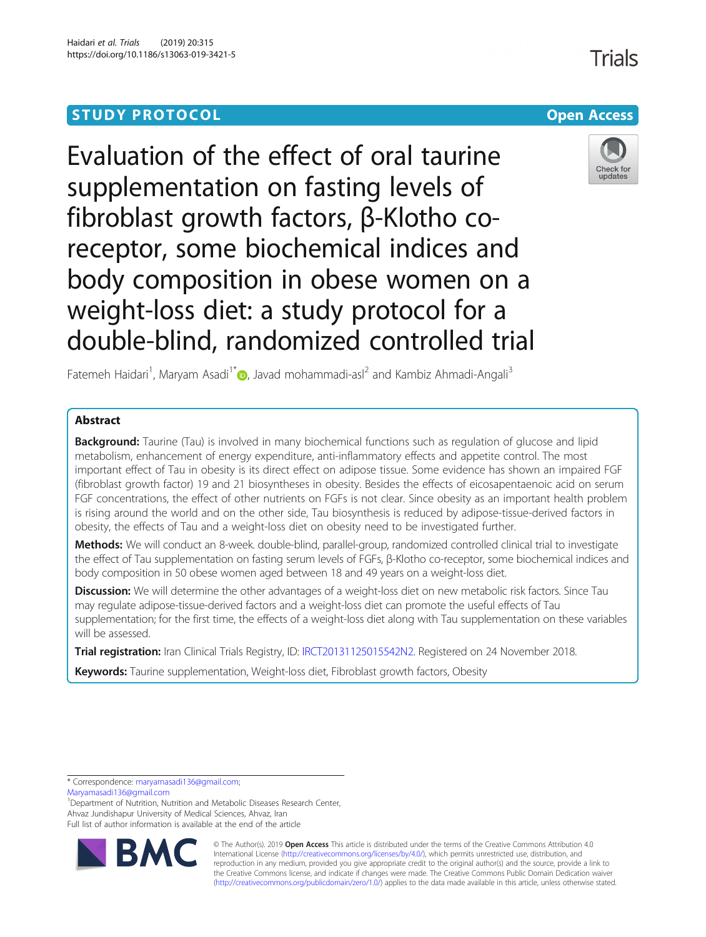# **STUDY PROTOCOL CONSUMING THE CONSUMING OPEN ACCESS**

Evaluation of the effect of oral taurine supplementation on fasting levels of fibroblast growth factors, β-Klotho coreceptor, some biochemical indices and body composition in obese women on a weight-loss diet: a study protocol for a double-blind, randomized controlled trial

Fatemeh Haidari<sup>1</sup>[,](http://orcid.org/0000-0002-2510-3722) Maryam Asadi<sup>1\*</sup> D, Javad mohammadi-asl<sup>2</sup> and Kambiz Ahmadi-Angali<sup>3</sup>

## Abstract

**Background:** Taurine (Tau) is involved in many biochemical functions such as regulation of glucose and lipid metabolism, enhancement of energy expenditure, anti-inflammatory effects and appetite control. The most important effect of Tau in obesity is its direct effect on adipose tissue. Some evidence has shown an impaired FGF (fibroblast growth factor) 19 and 21 biosyntheses in obesity. Besides the effects of eicosapentaenoic acid on serum FGF concentrations, the effect of other nutrients on FGFs is not clear. Since obesity as an important health problem is rising around the world and on the other side, Tau biosynthesis is reduced by adipose-tissue-derived factors in obesity, the effects of Tau and a weight-loss diet on obesity need to be investigated further.

Methods: We will conduct an 8-week. double-blind, parallel-group, randomized controlled clinical trial to investigate the effect of Tau supplementation on fasting serum levels of FGFs, β-Klotho co-receptor, some biochemical indices and body composition in 50 obese women aged between 18 and 49 years on a weight-loss diet.

**Discussion:** We will determine the other advantages of a weight-loss diet on new metabolic risk factors. Since Tau may regulate adipose-tissue-derived factors and a weight-loss diet can promote the useful effects of Tau supplementation; for the first time, the effects of a weight-loss diet along with Tau supplementation on these variables will be assessed.

Trial registration: Iran Clinical Trials Registry, ID: [IRCT20131125015542N2.](https://en.irct.ir/trial/33793) Registered on 24 November 2018.

Keywords: Taurine supplementation, Weight-loss diet, Fibroblast growth factors, Obesity

\* Correspondence: [maryamasadi136@gmail.com](mailto:maryamasadi136@gmail.com);

[Maryamasadi136@gmail.com](mailto:Maryamasadi136@gmail.com)

<sup>1</sup>Department of Nutrition, Nutrition and Metabolic Diseases Research Center, Ahvaz Jundishapur University of Medical Sciences, Ahvaz, Iran Full list of author information is available at the end of the article



© The Author(s). 2019 **Open Access** This article is distributed under the terms of the Creative Commons Attribution 4.0 International License [\(http://creativecommons.org/licenses/by/4.0/](http://creativecommons.org/licenses/by/4.0/)), which permits unrestricted use, distribution, and reproduction in any medium, provided you give appropriate credit to the original author(s) and the source, provide a link to the Creative Commons license, and indicate if changes were made. The Creative Commons Public Domain Dedication waiver [\(http://creativecommons.org/publicdomain/zero/1.0/](http://creativecommons.org/publicdomain/zero/1.0/)) applies to the data made available in this article, unless otherwise stated.

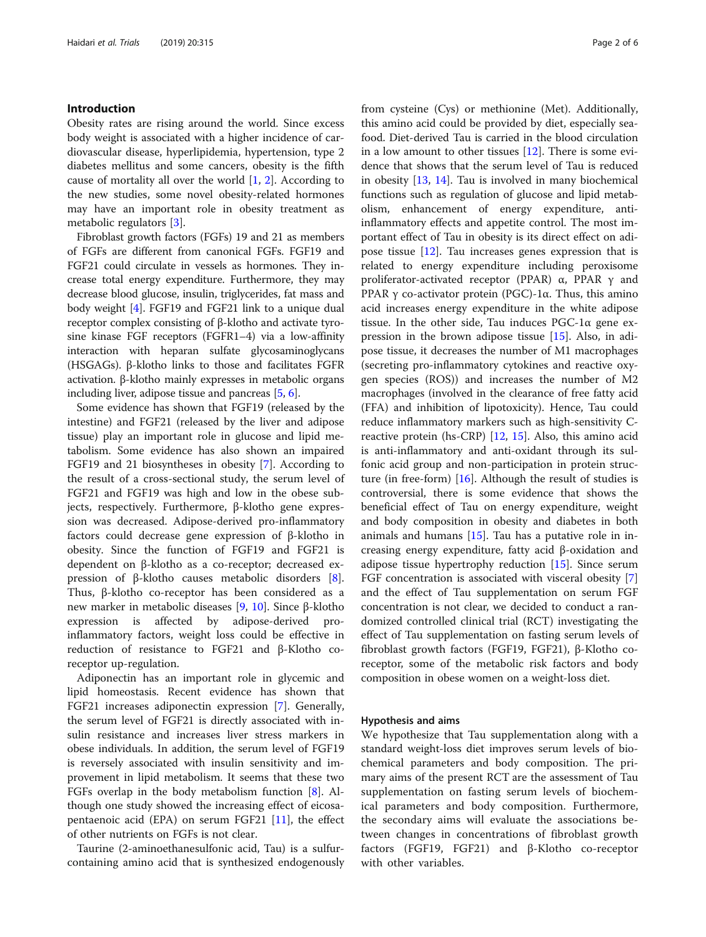#### Introduction

Obesity rates are rising around the world. Since excess body weight is associated with a higher incidence of cardiovascular disease, hyperlipidemia, hypertension, type 2 diabetes mellitus and some cancers, obesity is the fifth cause of mortality all over the world [\[1](#page-5-0), [2](#page-5-0)]. According to the new studies, some novel obesity-related hormones may have an important role in obesity treatment as metabolic regulators [\[3](#page-5-0)].

Fibroblast growth factors (FGFs) 19 and 21 as members of FGFs are different from canonical FGFs. FGF19 and FGF21 could circulate in vessels as hormones. They increase total energy expenditure. Furthermore, they may decrease blood glucose, insulin, triglycerides, fat mass and body weight [[4](#page-5-0)]. FGF19 and FGF21 link to a unique dual receptor complex consisting of β-klotho and activate tyrosine kinase FGF receptors (FGFR1–4) via a low-affinity interaction with heparan sulfate glycosaminoglycans (HSGAGs). β-klotho links to those and facilitates FGFR activation. β-klotho mainly expresses in metabolic organs including liver, adipose tissue and pancreas [[5,](#page-5-0) [6](#page-5-0)].

Some evidence has shown that FGF19 (released by the intestine) and FGF21 (released by the liver and adipose tissue) play an important role in glucose and lipid metabolism. Some evidence has also shown an impaired FGF19 and 21 biosyntheses in obesity [\[7](#page-5-0)]. According to the result of a cross-sectional study, the serum level of FGF21 and FGF19 was high and low in the obese subjects, respectively. Furthermore, β-klotho gene expression was decreased. Adipose-derived pro-inflammatory factors could decrease gene expression of β-klotho in obesity. Since the function of FGF19 and FGF21 is dependent on β-klotho as a co-receptor; decreased expression of β-klotho causes metabolic disorders [\[8](#page-5-0)]. Thus, β-klotho co-receptor has been considered as a new marker in metabolic diseases [\[9](#page-5-0), [10](#page-5-0)]. Since β-klotho expression is affected by adipose-derived proinflammatory factors, weight loss could be effective in reduction of resistance to FGF21 and β-Klotho coreceptor up-regulation.

Adiponectin has an important role in glycemic and lipid homeostasis. Recent evidence has shown that FGF21 increases adiponectin expression [\[7](#page-5-0)]. Generally, the serum level of FGF21 is directly associated with insulin resistance and increases liver stress markers in obese individuals. In addition, the serum level of FGF19 is reversely associated with insulin sensitivity and improvement in lipid metabolism. It seems that these two FGFs overlap in the body metabolism function [\[8\]](#page-5-0). Although one study showed the increasing effect of eicosapentaenoic acid (EPA) on serum FGF21 [\[11](#page-5-0)], the effect of other nutrients on FGFs is not clear.

Taurine (2-aminoethanesulfonic acid, Tau) is a sulfurcontaining amino acid that is synthesized endogenously from cysteine (Cys) or methionine (Met). Additionally, this amino acid could be provided by diet, especially seafood. Diet-derived Tau is carried in the blood circulation in a low amount to other tissues [\[12](#page-5-0)]. There is some evidence that shows that the serum level of Tau is reduced in obesity [\[13](#page-5-0), [14\]](#page-5-0). Tau is involved in many biochemical functions such as regulation of glucose and lipid metabolism, enhancement of energy expenditure, antiinflammatory effects and appetite control. The most important effect of Tau in obesity is its direct effect on adipose tissue [[12\]](#page-5-0). Tau increases genes expression that is related to energy expenditure including peroxisome proliferator-activated receptor (PPAR)  $\alpha$ , PPAR γ and PPAR γ co-activator protein (PGC)-1α. Thus, this amino acid increases energy expenditure in the white adipose tissue. In the other side, Tau induces PGC-1α gene expression in the brown adipose tissue [[15\]](#page-5-0). Also, in adipose tissue, it decreases the number of M1 macrophages (secreting pro-inflammatory cytokines and reactive oxygen species (ROS)) and increases the number of M2 macrophages (involved in the clearance of free fatty acid (FFA) and inhibition of lipotoxicity). Hence, Tau could reduce inflammatory markers such as high-sensitivity Creactive protein (hs-CRP) [[12](#page-5-0), [15\]](#page-5-0). Also, this amino acid is anti-inflammatory and anti-oxidant through its sulfonic acid group and non-participation in protein structure (in free-form) [\[16](#page-5-0)]. Although the result of studies is controversial, there is some evidence that shows the beneficial effect of Tau on energy expenditure, weight and body composition in obesity and diabetes in both animals and humans [\[15](#page-5-0)]. Tau has a putative role in increasing energy expenditure, fatty acid β-oxidation and adipose tissue hypertrophy reduction [[15\]](#page-5-0). Since serum FGF concentration is associated with visceral obesity [\[7](#page-5-0)] and the effect of Tau supplementation on serum FGF concentration is not clear, we decided to conduct a randomized controlled clinical trial (RCT) investigating the effect of Tau supplementation on fasting serum levels of fibroblast growth factors (FGF19, FGF21), β-Klotho coreceptor, some of the metabolic risk factors and body composition in obese women on a weight-loss diet.

#### Hypothesis and aims

We hypothesize that Tau supplementation along with a standard weight-loss diet improves serum levels of biochemical parameters and body composition. The primary aims of the present RCT are the assessment of Tau supplementation on fasting serum levels of biochemical parameters and body composition. Furthermore, the secondary aims will evaluate the associations between changes in concentrations of fibroblast growth factors (FGF19, FGF21) and β-Klotho co-receptor with other variables.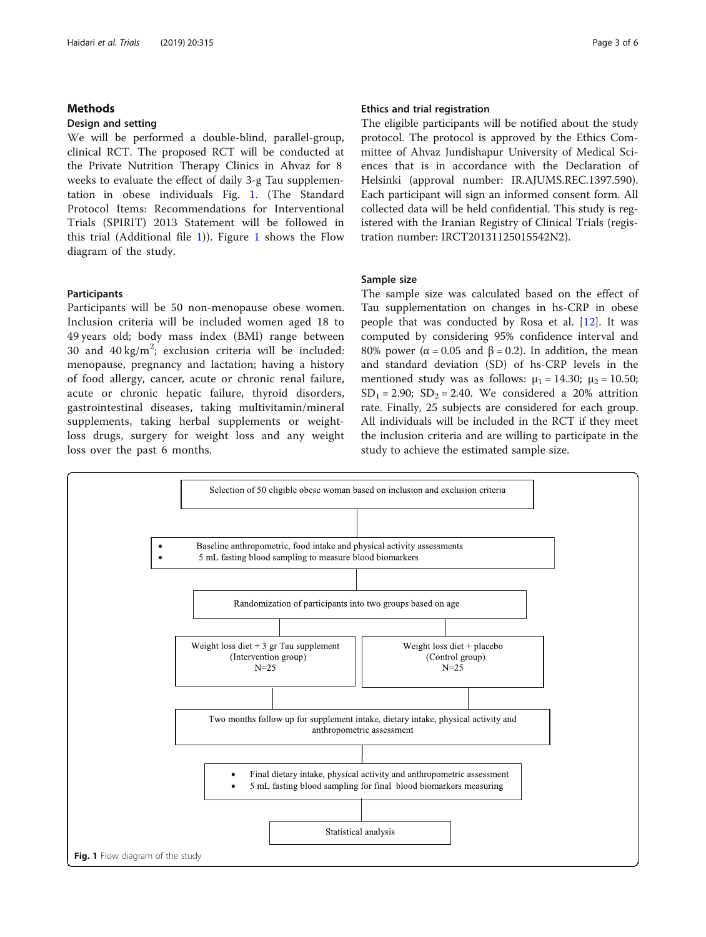#### Methods

#### Design and setting

We will be performed a double-blind, parallel-group, clinical RCT. The proposed RCT will be conducted at the Private Nutrition Therapy Clinics in Ahvaz for 8 weeks to evaluate the effect of daily 3-g Tau supplementation in obese individuals Fig. 1. (The Standard Protocol Items: Recommendations for Interventional Trials (SPIRIT) 2013 Statement will be followed in this trial (Additional file [1\)](#page-4-0)). Figure 1 shows the Flow diagram of the study.

#### Participants

Participants will be 50 non-menopause obese women. Inclusion criteria will be included women aged 18 to 49 years old; body mass index (BMI) range between 30 and  $40 \text{ kg/m}^2$ ; exclusion criteria will be included: menopause, pregnancy and lactation; having a history of food allergy, cancer, acute or chronic renal failure, acute or chronic hepatic failure, thyroid disorders, gastrointestinal diseases, taking multivitamin/mineral supplements, taking herbal supplements or weightloss drugs, surgery for weight loss and any weight loss over the past 6 months.

#### Ethics and trial registration

The eligible participants will be notified about the study protocol. The protocol is approved by the Ethics Committee of Ahvaz Jundishapur University of Medical Sciences that is in accordance with the Declaration of Helsinki (approval number: IR.AJUMS.REC.1397.590). Each participant will sign an informed consent form. All collected data will be held confidential. This study is registered with the Iranian Registry of Clinical Trials (registration number: IRCT20131125015542N2).

#### Sample size

The sample size was calculated based on the effect of Tau supplementation on changes in hs-CRP in obese people that was conducted by Rosa et al. [\[12](#page-5-0)]. It was computed by considering 95% confidence interval and 80% power ( $\alpha$  = 0.05 and β = 0.2). In addition, the mean and standard deviation (SD) of hs-CRP levels in the mentioned study was as follows:  $\mu_1 = 14.30$ ;  $\mu_2 = 10.50$ ;  $SD_1 = 2.90$ ;  $SD_2 = 2.40$ . We considered a 20% attrition rate. Finally, 25 subjects are considered for each group. All individuals will be included in the RCT if they meet the inclusion criteria and are willing to participate in the study to achieve the estimated sample size.

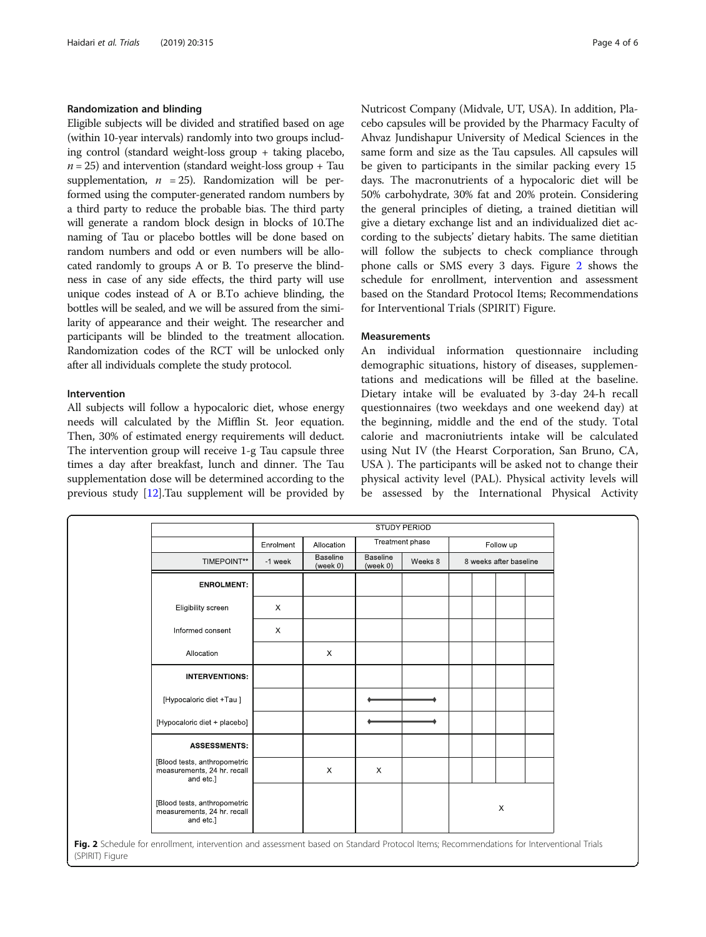#### Randomization and blinding

Eligible subjects will be divided and stratified based on age (within 10-year intervals) randomly into two groups including control (standard weight-loss group + taking placebo,  $n = 25$ ) and intervention (standard weight-loss group + Tau supplementation,  $n = 25$ ). Randomization will be performed using the computer-generated random numbers by a third party to reduce the probable bias. The third party will generate a random block design in blocks of 10.The naming of Tau or placebo bottles will be done based on random numbers and odd or even numbers will be allocated randomly to groups A or B. To preserve the blindness in case of any side effects, the third party will use unique codes instead of A or B.To achieve blinding, the bottles will be sealed, and we will be assured from the similarity of appearance and their weight. The researcher and participants will be blinded to the treatment allocation. Randomization codes of the RCT will be unlocked only after all individuals complete the study protocol.

#### Intervention

All subjects will follow a hypocaloric diet, whose energy needs will calculated by the Mifflin St. Jeor equation. Then, 30% of estimated energy requirements will deduct. The intervention group will receive 1-g Tau capsule three times a day after breakfast, lunch and dinner. The Tau supplementation dose will be determined according to the previous study [\[12\]](#page-5-0).Tau supplement will be provided by Nutricost Company (Midvale, UT, USA). In addition, Placebo capsules will be provided by the Pharmacy Faculty of Ahvaz Jundishapur University of Medical Sciences in the same form and size as the Tau capsules. All capsules will be given to participants in the similar packing every 15 days. The macronutrients of a hypocaloric diet will be 50% carbohydrate, 30% fat and 20% protein. Considering the general principles of dieting, a trained dietitian will give a dietary exchange list and an individualized diet according to the subjects' dietary habits. The same dietitian will follow the subjects to check compliance through phone calls or SMS every 3 days. Figure 2 shows the schedule for enrollment, intervention and assessment based on the Standard Protocol Items; Recommendations for Interventional Trials (SPIRIT) Figure.

#### Measurements

An individual information questionnaire including demographic situations, history of diseases, supplementations and medications will be filled at the baseline. Dietary intake will be evaluated by 3-day 24-h recall questionnaires (two weekdays and one weekend day) at the beginning, middle and the end of the study. Total calorie and macroniutrients intake will be calculated using Nut IV (the Hearst Corporation, San Bruno, CA, USA ). The participants will be asked not to change their physical activity level (PAL). Physical activity levels will be assessed by the International Physical Activity

|                                                                                                                                         | <b>STUDY PERIOD</b> |                             |                             |                 |                        |  |  |  |
|-----------------------------------------------------------------------------------------------------------------------------------------|---------------------|-----------------------------|-----------------------------|-----------------|------------------------|--|--|--|
|                                                                                                                                         | Enrolment           | Allocation                  |                             | Treatment phase | Follow up              |  |  |  |
| TIMEPOINT**                                                                                                                             | -1 week             | <b>Baseline</b><br>(week 0) | <b>Baseline</b><br>(week 0) | Weeks 8         | 8 weeks after baseline |  |  |  |
| <b>ENROLMENT:</b>                                                                                                                       |                     |                             |                             |                 |                        |  |  |  |
| Eligibility screen                                                                                                                      | $\times$            |                             |                             |                 |                        |  |  |  |
| Informed consent                                                                                                                        | $\times$            |                             |                             |                 |                        |  |  |  |
| Allocation                                                                                                                              |                     | $\times$                    |                             |                 |                        |  |  |  |
| <b>INTERVENTIONS:</b>                                                                                                                   |                     |                             |                             |                 |                        |  |  |  |
| [Hypocaloric diet +Tau]                                                                                                                 |                     |                             |                             |                 |                        |  |  |  |
| [Hypocaloric diet + placebo]                                                                                                            |                     |                             |                             |                 |                        |  |  |  |
| <b>ASSESSMENTS:</b>                                                                                                                     |                     |                             |                             |                 |                        |  |  |  |
| [Blood tests, anthropometric<br>measurements, 24 hr. recall<br>and etc.]                                                                |                     | $\times$                    | $\times$                    |                 |                        |  |  |  |
| [Blood tests, anthropometric<br>measurements, 24 hr. recall<br>and etc.]                                                                |                     |                             |                             |                 | X                      |  |  |  |
| Fig. 2 Schedule for enrollment, intervention and assessment based on Standard Protocol Items; Recommendations for Interventional Trials |                     |                             |                             |                 |                        |  |  |  |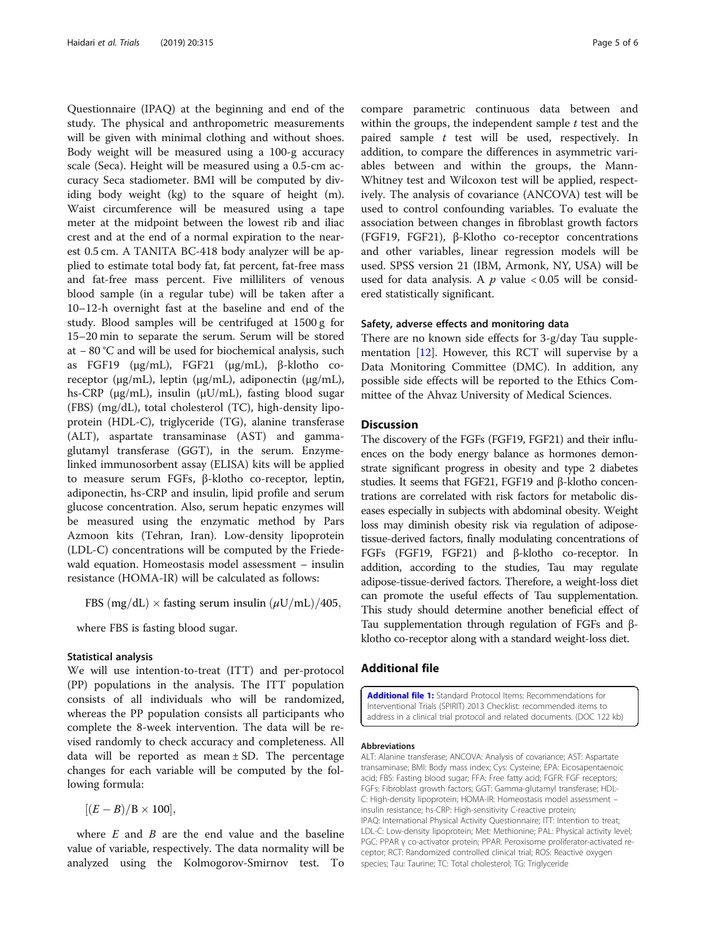<span id="page-4-0"></span>Questionnaire (IPAQ) at the beginning and end of the study. The physical and anthropometric measurements will be given with minimal clothing and without shoes. Body weight will be measured using a 100-g accuracy scale (Seca). Height will be measured using a 0.5-cm accuracy Seca stadiometer. BMI will be computed by dividing body weight (kg) to the square of height (m). Waist circumference will be measured using a tape meter at the midpoint between the lowest rib and iliac crest and at the end of a normal expiration to the nearest 0.5 cm. A TANITA BC-418 body analyzer will be applied to estimate total body fat, fat percent, fat-free mass and fat-free mass percent. Five milliliters of venous blood sample (in a regular tube) will be taken after a 10–12-h overnight fast at the baseline and end of the study. Blood samples will be centrifuged at 1500 g for 15–20 min to separate the serum. Serum will be stored at − 80 °C and will be used for biochemical analysis, such as FGF19 (μg/mL), FGF21 (μg/mL), β-klotho coreceptor (μg/mL), leptin (μg/mL), adiponectin (μg/mL), hs-CRP (μg/mL), insulin (μU/mL), fasting blood sugar (FBS) (mg/dL), total cholesterol (TC), high-density lipoprotein (HDL-C), triglyceride (TG), alanine transferase (ALT), aspartate transaminase (AST) and gammaglutamyl transferase (GGT), in the serum. Enzymelinked immunosorbent assay (ELISA) kits will be applied to measure serum FGFs, β-klotho co-receptor, leptin, adiponectin, hs-CRP and insulin, lipid profile and serum glucose concentration. Also, serum hepatic enzymes will be measured using the enzymatic method by Pars Azmoon kits (Tehran, Iran). Low-density lipoprotein (LDL-C) concentrations will be computed by the Friedewald equation. Homeostasis model assessment – insulin resistance (HOMA-IR) will be calculated as follows:

FBS (mg/dL)  $\times$  fasting serum insulin ( $\mu$ U/mL)/405,

where FBS is fasting blood sugar.

#### Statistical analysis

We will use intention-to-treat (ITT) and per-protocol (PP) populations in the analysis. The ITT population consists of all individuals who will be randomized, whereas the PP population consists all participants who complete the 8-week intervention. The data will be revised randomly to check accuracy and completeness. All data will be reported as mean  $\pm$  SD. The percentage changes for each variable will be computed by the following formula:

 $[(E - B)/B \times 100],$ 

where  $E$  and  $B$  are the end value and the baseline value of variable, respectively. The data normality will be analyzed using the Kolmogorov-Smirnov test. To

compare parametric continuous data between and within the groups, the independent sample  $t$  test and the paired sample  $t$  test will be used, respectively. In addition, to compare the differences in asymmetric variables between and within the groups, the Mann-Whitney test and Wilcoxon test will be applied, respectively. The analysis of covariance (ANCOVA) test will be used to control confounding variables. To evaluate the association between changes in fibroblast growth factors (FGF19, FGF21), β-Klotho co-receptor concentrations and other variables, linear regression models will be used. SPSS version 21 (IBM, Armonk, NY, USA) will be used for data analysis. A  $p$  value < 0.05 will be considered statistically significant.

#### Safety, adverse effects and monitoring data

There are no known side effects for 3-g/day Tau supplementation [\[12\]](#page-5-0). However, this RCT will supervise by a Data Monitoring Committee (DMC). In addition, any possible side effects will be reported to the Ethics Committee of the Ahvaz University of Medical Sciences.

### **Discussion**

The discovery of the FGFs (FGF19, FGF21) and their influences on the body energy balance as hormones demonstrate significant progress in obesity and type 2 diabetes studies. It seems that FGF21, FGF19 and β-klotho concentrations are correlated with risk factors for metabolic diseases especially in subjects with abdominal obesity. Weight loss may diminish obesity risk via regulation of adiposetissue-derived factors, finally modulating concentrations of FGFs (FGF19, FGF21) and β-klotho co-receptor. In addition, according to the studies, Tau may regulate adipose-tissue-derived factors. Therefore, a weight-loss diet can promote the useful effects of Tau supplementation. This study should determine another beneficial effect of Tau supplementation through regulation of FGFs and βklotho co-receptor along with a standard weight-loss diet.

#### Additional file

[Additional file 1:](https://doi.org/10.1186/s13063-019-3421-5) Standard Protocol Items: Recommendations for Interventional Trials (SPIRIT) 2013 Checklist: recommended items to address in a clinical trial protocol and related documents. (DOC 122 kb)

#### Abbreviations

ALT: Alanine transferase; ANCOVA: Analysis of covariance; AST: Aspartate transaminase; BMI: Body mass index; Cys: Cysteine; EPA: Eicosapentaenoic acid; FBS: Fasting blood sugar; FFA: Free fatty acid; FGFR: FGF receptors; FGFs: Fibroblast growth factors; GGT: Gamma-glutamyl transferase; HDL-C: High-density lipoprotein; HOMA-IR: Homeostasis model assessment – insulin resistance; hs-CRP: High-sensitivity C-reactive protein; IPAQ: International Physical Activity Questionnaire; ITT: Intention to treat; LDL-C: Low-density lipoprotein; Met: Methionine; PAL: Physical activity level; PGC: PPAR γ co-activator protein; PPAR: Peroxisome proliferator-activated receptor; RCT: Randomized controlled clinical trial; ROS: Reactive oxygen species; Tau: Taurine; TC: Total cholesterol; TG: Triglyceride